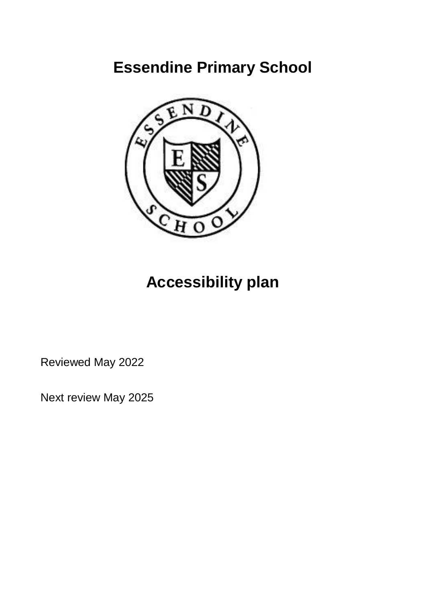# **Essendine Primary School**



# **Accessibility plan**

Reviewed May 2022

Next review May 2025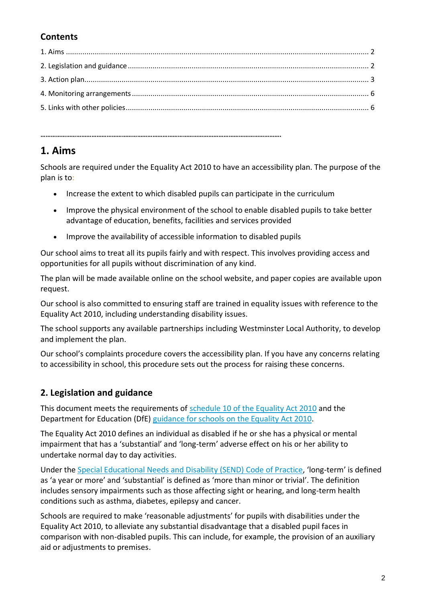#### **Contents**

### **1. Aims**

Schools are required under the Equality Act 2010 to have an accessibility plan. The purpose of the plan is to:

- Increase the extent to which disabled pupils can participate in the curriculum
- Improve the physical environment of the school to enable disabled pupils to take better advantage of education, benefits, facilities and services provided
- Improve the availability of accessible information to disabled pupils

**…………………………………………………………………………………………………………………………….**

Our school aims to treat all its pupils fairly and with respect. This involves providing access and opportunities for all pupils without discrimination of any kind.

The plan will be made available online on the school website, and paper copies are available upon request.

Our school is also committed to ensuring staff are trained in equality issues with reference to the Equality Act 2010, including understanding disability issues.

The school supports any available partnerships including Westminster Local Authority, to develop and implement the plan.

Our school's complaints procedure covers the accessibility plan. If you have any concerns relating to accessibility in school, this procedure sets out the process for raising these concerns.

#### **2. Legislation and guidance**

This document meets the requirements of [schedule 10 of the Equality Act 2010](http://www.legislation.gov.uk/ukpga/2010/15/schedule/10) and the Department for Education (DfE) [guidance for schools on the Equality Act 2010.](https://www.gov.uk/government/publications/equality-act-2010-advice-for-schools)

The Equality Act 2010 defines an individual as disabled if he or she has a physical or mental impairment that has a 'substantial' and 'long-term' adverse effect on his or her ability to undertake normal day to day activities.

Under the [Special Educational Needs and Disability \(SEND\) Code of Practice](https://www.gov.uk/government/publications/send-code-of-practice-0-to-25), 'long-term' is defined as 'a year or more' and 'substantial' is defined as 'more than minor or trivial'. The definition includes sensory impairments such as those affecting sight or hearing, and long-term health conditions such as asthma, diabetes, epilepsy and cancer.

Schools are required to make 'reasonable adjustments' for pupils with disabilities under the Equality Act 2010, to alleviate any substantial disadvantage that a disabled pupil faces in comparison with non-disabled pupils. This can include, for example, the provision of an auxiliary aid or adjustments to premises.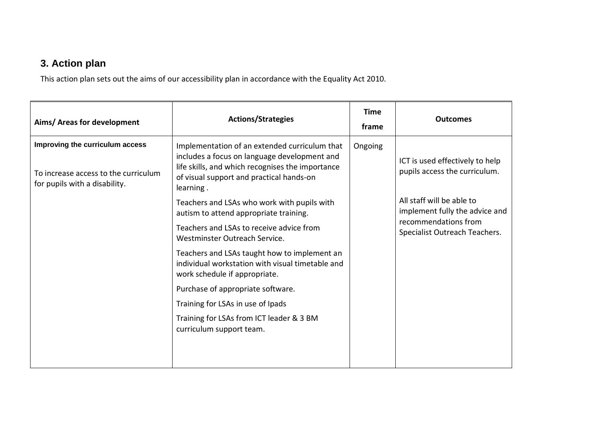## **3. Action plan**

This action plan sets out the aims of our accessibility plan in accordance with the Equality Act 2010.

| Aims/ Areas for development                                                                              | <b>Actions/Strategies</b>                                                                                                                                                                                  | <b>Time</b><br>frame | <b>Outcomes</b>                                                  |
|----------------------------------------------------------------------------------------------------------|------------------------------------------------------------------------------------------------------------------------------------------------------------------------------------------------------------|----------------------|------------------------------------------------------------------|
| Improving the curriculum access<br>To increase access to the curriculum<br>for pupils with a disability. | Implementation of an extended curriculum that<br>includes a focus on language development and<br>life skills, and which recognises the importance<br>of visual support and practical hands-on<br>learning. | Ongoing              | ICT is used effectively to help<br>pupils access the curriculum. |
|                                                                                                          | Teachers and LSAs who work with pupils with<br>autism to attend appropriate training.                                                                                                                      |                      | All staff will be able to<br>implement fully the advice and      |
|                                                                                                          | Teachers and LSAs to receive advice from<br>Westminster Outreach Service.                                                                                                                                  |                      | recommendations from<br>Specialist Outreach Teachers.            |
|                                                                                                          | Teachers and LSAs taught how to implement an<br>individual workstation with visual timetable and<br>work schedule if appropriate.                                                                          |                      |                                                                  |
|                                                                                                          | Purchase of appropriate software.                                                                                                                                                                          |                      |                                                                  |
|                                                                                                          | Training for LSAs in use of Ipads                                                                                                                                                                          |                      |                                                                  |
|                                                                                                          | Training for LSAs from ICT leader & 3 BM<br>curriculum support team.                                                                                                                                       |                      |                                                                  |
|                                                                                                          |                                                                                                                                                                                                            |                      |                                                                  |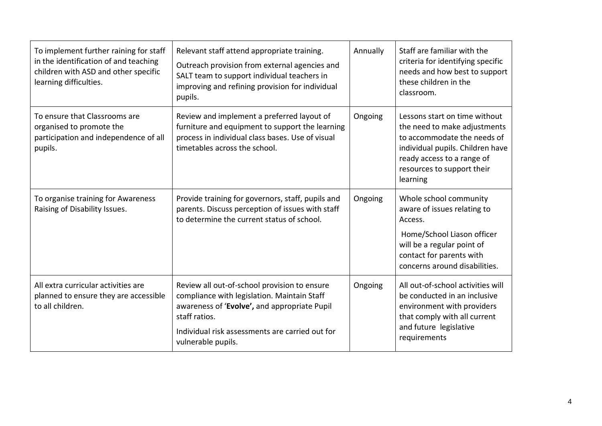| To implement further raining for staff<br>in the identification of and teaching<br>children with ASD and other specific<br>learning difficulties. | Relevant staff attend appropriate training.<br>Outreach provision from external agencies and<br>SALT team to support individual teachers in<br>improving and refining provision for individual<br>pupils.                             | Annually | Staff are familiar with the<br>criteria for identifying specific<br>needs and how best to support<br>these children in the<br>classroom.                                                                 |
|---------------------------------------------------------------------------------------------------------------------------------------------------|---------------------------------------------------------------------------------------------------------------------------------------------------------------------------------------------------------------------------------------|----------|----------------------------------------------------------------------------------------------------------------------------------------------------------------------------------------------------------|
| To ensure that Classrooms are<br>organised to promote the<br>participation and independence of all<br>pupils.                                     | Review and implement a preferred layout of<br>furniture and equipment to support the learning<br>process in individual class bases. Use of visual<br>timetables across the school.                                                    | Ongoing  | Lessons start on time without<br>the need to make adjustments<br>to accommodate the needs of<br>individual pupils. Children have<br>ready access to a range of<br>resources to support their<br>learning |
| To organise training for Awareness<br>Raising of Disability Issues.                                                                               | Provide training for governors, staff, pupils and<br>parents. Discuss perception of issues with staff<br>to determine the current status of school.                                                                                   | Ongoing  | Whole school community<br>aware of issues relating to<br>Access.<br>Home/School Liason officer<br>will be a regular point of<br>contact for parents with<br>concerns around disabilities.                |
| All extra curricular activities are<br>planned to ensure they are accessible<br>to all children.                                                  | Review all out-of-school provision to ensure<br>compliance with legislation. Maintain Staff<br>awareness of 'Evolve', and appropriate Pupil<br>staff ratios.<br>Individual risk assessments are carried out for<br>vulnerable pupils. | Ongoing  | All out-of-school activities will<br>be conducted in an inclusive<br>environment with providers<br>that comply with all current<br>and future legislative<br>requirements                                |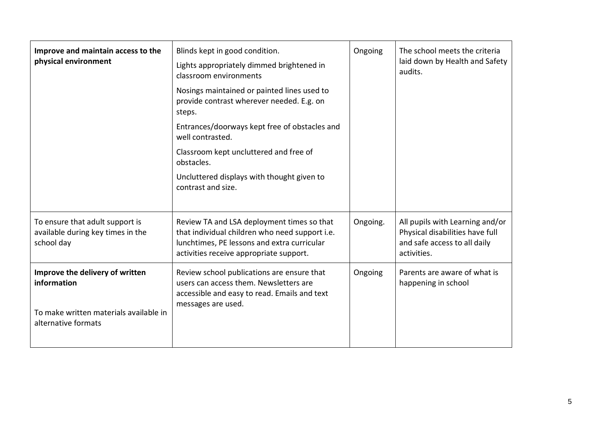| Improve and maintain access to the<br>physical environment                                                      | Blinds kept in good condition.<br>Lights appropriately dimmed brightened in<br>classroom environments<br>Nosings maintained or painted lines used to<br>provide contrast wherever needed. E.g. on<br>steps.<br>Entrances/doorways kept free of obstacles and<br>well contrasted.<br>Classroom kept uncluttered and free of<br>obstacles.<br>Uncluttered displays with thought given to<br>contrast and size. | Ongoing  | The school meets the criteria<br>laid down by Health and Safety<br>audits.                                        |
|-----------------------------------------------------------------------------------------------------------------|--------------------------------------------------------------------------------------------------------------------------------------------------------------------------------------------------------------------------------------------------------------------------------------------------------------------------------------------------------------------------------------------------------------|----------|-------------------------------------------------------------------------------------------------------------------|
| To ensure that adult support is<br>available during key times in the<br>school day                              | Review TA and LSA deployment times so that<br>that individual children who need support i.e.<br>lunchtimes, PE lessons and extra curricular<br>activities receive appropriate support.                                                                                                                                                                                                                       | Ongoing. | All pupils with Learning and/or<br>Physical disabilities have full<br>and safe access to all daily<br>activities. |
| Improve the delivery of written<br>information<br>To make written materials available in<br>alternative formats | Review school publications are ensure that<br>users can access them. Newsletters are<br>accessible and easy to read. Emails and text<br>messages are used.                                                                                                                                                                                                                                                   | Ongoing  | Parents are aware of what is<br>happening in school                                                               |